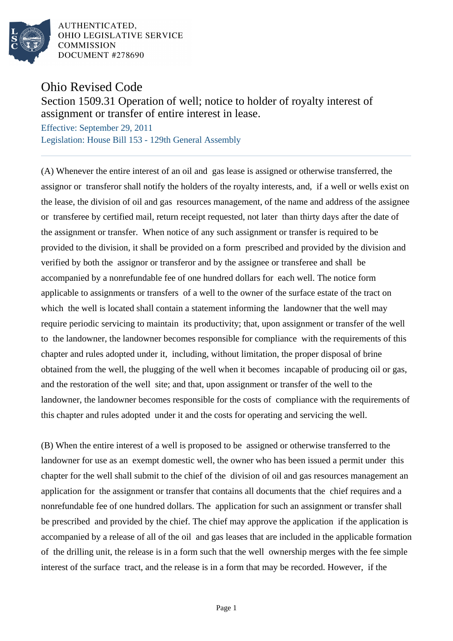

AUTHENTICATED. OHIO LEGISLATIVE SERVICE **COMMISSION** DOCUMENT #278690

## Ohio Revised Code

## Section 1509.31 Operation of well; notice to holder of royalty interest of assignment or transfer of entire interest in lease.

Effective: September 29, 2011 Legislation: House Bill 153 - 129th General Assembly

(A) Whenever the entire interest of an oil and gas lease is assigned or otherwise transferred, the assignor or transferor shall notify the holders of the royalty interests, and, if a well or wells exist on the lease, the division of oil and gas resources management, of the name and address of the assignee or transferee by certified mail, return receipt requested, not later than thirty days after the date of the assignment or transfer. When notice of any such assignment or transfer is required to be provided to the division, it shall be provided on a form prescribed and provided by the division and verified by both the assignor or transferor and by the assignee or transferee and shall be accompanied by a nonrefundable fee of one hundred dollars for each well. The notice form applicable to assignments or transfers of a well to the owner of the surface estate of the tract on which the well is located shall contain a statement informing the landowner that the well may require periodic servicing to maintain its productivity; that, upon assignment or transfer of the well to the landowner, the landowner becomes responsible for compliance with the requirements of this chapter and rules adopted under it, including, without limitation, the proper disposal of brine obtained from the well, the plugging of the well when it becomes incapable of producing oil or gas, and the restoration of the well site; and that, upon assignment or transfer of the well to the landowner, the landowner becomes responsible for the costs of compliance with the requirements of this chapter and rules adopted under it and the costs for operating and servicing the well.

(B) When the entire interest of a well is proposed to be assigned or otherwise transferred to the landowner for use as an exempt domestic well, the owner who has been issued a permit under this chapter for the well shall submit to the chief of the division of oil and gas resources management an application for the assignment or transfer that contains all documents that the chief requires and a nonrefundable fee of one hundred dollars. The application for such an assignment or transfer shall be prescribed and provided by the chief. The chief may approve the application if the application is accompanied by a release of all of the oil and gas leases that are included in the applicable formation of the drilling unit, the release is in a form such that the well ownership merges with the fee simple interest of the surface tract, and the release is in a form that may be recorded. However, if the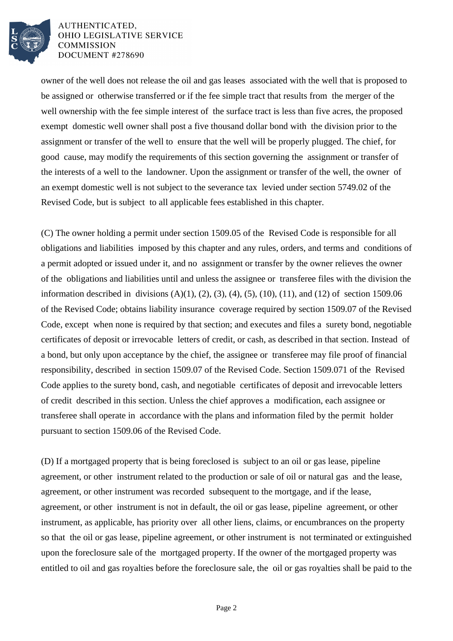

AUTHENTICATED. OHIO LEGISLATIVE SERVICE **COMMISSION** DOCUMENT #278690

owner of the well does not release the oil and gas leases associated with the well that is proposed to be assigned or otherwise transferred or if the fee simple tract that results from the merger of the well ownership with the fee simple interest of the surface tract is less than five acres, the proposed exempt domestic well owner shall post a five thousand dollar bond with the division prior to the assignment or transfer of the well to ensure that the well will be properly plugged. The chief, for good cause, may modify the requirements of this section governing the assignment or transfer of the interests of a well to the landowner. Upon the assignment or transfer of the well, the owner of an exempt domestic well is not subject to the severance tax levied under section 5749.02 of the Revised Code, but is subject to all applicable fees established in this chapter.

(C) The owner holding a permit under section 1509.05 of the Revised Code is responsible for all obligations and liabilities imposed by this chapter and any rules, orders, and terms and conditions of a permit adopted or issued under it, and no assignment or transfer by the owner relieves the owner of the obligations and liabilities until and unless the assignee or transferee files with the division the information described in divisions  $(A)(1)$ ,  $(2)$ ,  $(3)$ ,  $(4)$ ,  $(5)$ ,  $(10)$ ,  $(11)$ , and  $(12)$  of section 1509.06 of the Revised Code; obtains liability insurance coverage required by section 1509.07 of the Revised Code, except when none is required by that section; and executes and files a surety bond, negotiable certificates of deposit or irrevocable letters of credit, or cash, as described in that section. Instead of a bond, but only upon acceptance by the chief, the assignee or transferee may file proof of financial responsibility, described in section 1509.07 of the Revised Code. Section 1509.071 of the Revised Code applies to the surety bond, cash, and negotiable certificates of deposit and irrevocable letters of credit described in this section. Unless the chief approves a modification, each assignee or transferee shall operate in accordance with the plans and information filed by the permit holder pursuant to section 1509.06 of the Revised Code.

(D) If a mortgaged property that is being foreclosed is subject to an oil or gas lease, pipeline agreement, or other instrument related to the production or sale of oil or natural gas and the lease, agreement, or other instrument was recorded subsequent to the mortgage, and if the lease, agreement, or other instrument is not in default, the oil or gas lease, pipeline agreement, or other instrument, as applicable, has priority over all other liens, claims, or encumbrances on the property so that the oil or gas lease, pipeline agreement, or other instrument is not terminated or extinguished upon the foreclosure sale of the mortgaged property. If the owner of the mortgaged property was entitled to oil and gas royalties before the foreclosure sale, the oil or gas royalties shall be paid to the